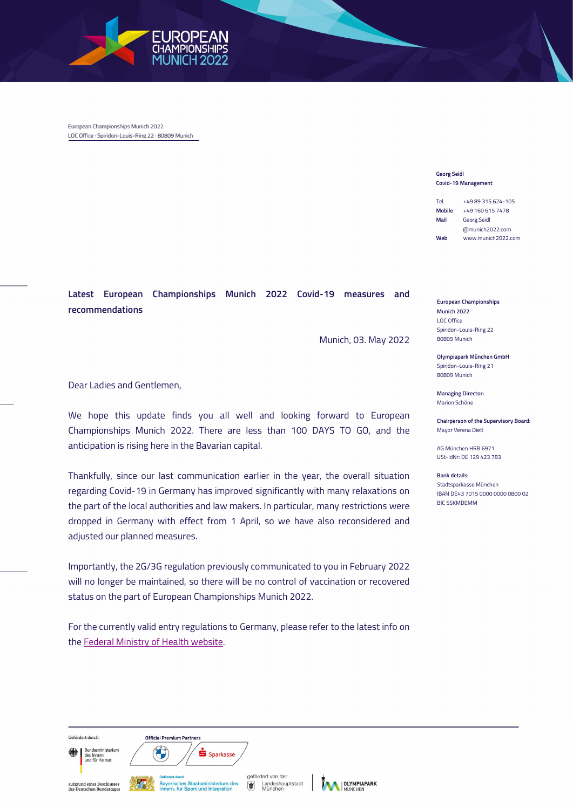

European Championships Munich 2022 LOC Office · Spiridon-Louis-Ring 22 · 80809 Munich

## Georg Seidl Covid-19 Management

Tel. +49 89 315 624-105 Mobile +49 160 615 7478 Mail Georg.Seidl @munich2022.com Web www.munich2022.com

European Championships Munich 2022 LOC Office Spiridon-Louis-Ring 22 80809 Munich

Olympiapark München GmbH Spiridon-Louis-Ring 21 80809 Munich

Managing Director: Marion Schöne

Chairperson of the Supervisory Board: Mayor Verena Dietl

AG München HRB 6971 USt-IdNr: DE 129 423 783

Bank details: Stadtsparkasse München IBAN DE43 7015 0000 0000 0800 02 BIC SSKMDEMM

Latest European Championships Munich 2022 Covid-19 measures and recommendations

Munich, 03. May 2022

Dear Ladies and Gentlemen,

We hope this update finds you all well and looking forward to European Championships Munich 2022. There are less than 100 DAYS TO GO, and the anticipation is rising here in the Bavarian capital.

Thankfully, since our last communication earlier in the year, the overall situation regarding Covid-19 in Germany has improved significantly with many relaxations on the part of the local authorities and law makers. In particular, many restrictions were dropped in Germany with effect from 1 April, so we have also reconsidered and adjusted our planned measures.

Importantly, the 2G/3G regulation previously communicated to you in February 2022 will no longer be maintained, so there will be no control of vaccination or recovered status on the part of European Championships Munich 2022.

For the currently valid entry regulations to Germany, please refer to the latest info on the Federal Ministry of Health website.

Gefördert durch Bundesministerium

**Official Premium Partners** 

S Sparkasse

acs mincm<br>und für Heimat

aufgrund eines Beschlusses<br>des Deutschen Bundestage:



gefördert von der Landeshauptstadt<br>München 庸